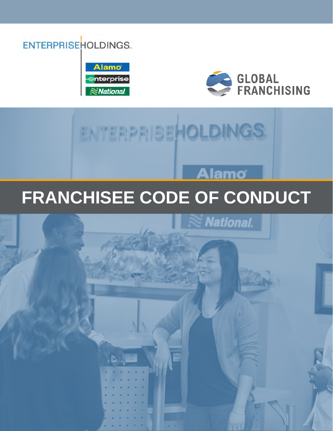**ENTERPRISEHOLDINGS.** 



 $\mathbf{B}$ ,  $\mathbf{B}$ .



**National.** 

# ENTERPRISEHOLDINGS **Alamo**

### FRANCHISEE CODE OF CONDUCT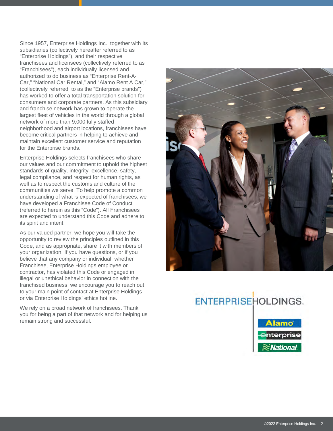Since 1957, Enterprise Holdings Inc., together with it s subsidiaries (collectively hereafter referred to as "Enterprise Holdings"), and their respective "Franchisees"), each individually licensed and authorized to do business as "Enterprise Rent-A-Car," "National Car Rental," and "Alamo Rent A Car," (collectively referred to as the "Enterprise brands") has worked to offer a total transportation solution for consumers and corporate partners. A s this subsidiary and franchise network has grown to operate the largest fleet of vehicles in the world through a global network of more than 9,000 fully staffed neighborhood and airport locations, franchisees have become critical partners in helping to achieve and maintain excellent customer service and reputation for the Enterprise brand s.

Enterprise Holdings selects franchisees who share our values and our commitment to uphold the highest standards of quality, integrity, excellence, safety, legal compliance, and respect for human rights, as well as to respect the customs and culture of the communities we serve. To help promote a common understanding of what is expected of franchisees, we have developed a Franchisee Code of Conduct (referred to herein as t his "Code"). All Franchisees are expected to understand this Code and adhere to its spirit and intent.

As our valued partner, we hope you will take the opportunity to review the principles outlined in this Code , and as appropriate, share it with members of your organization. If you have questions, or i f you believe that any company or individual, whether Franchisee , Enterprise Holdings employee or contractor, has violated this Code or engaged in illegal or unethical behavior in connection with the franchised business, we encourage you to reach out to your main point of contact at Enterprise Holdings

or via Enterprise Holdings' ethics hotline. We rely on a broad network of franchisees. Thank you for being a part of that network and for helping us remain strong and successful.



### ENTERPRISEHOLDINGS.

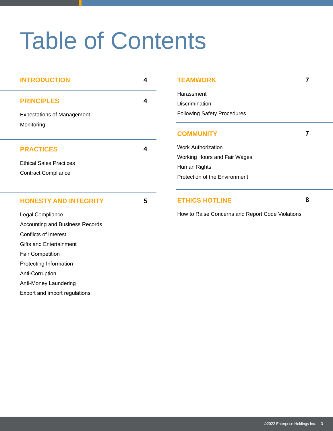### Table of Contents

| <b>INTRODUCTION</b>                    | 4 | <b>TEAMWORK</b>                                  | 7 |
|----------------------------------------|---|--------------------------------------------------|---|
|                                        |   | Harassment                                       |   |
| <b>PRINCIPLES</b>                      | 4 | Discrimination                                   |   |
| <b>Expectations of Management</b>      |   | <b>Following Safety Procedures</b>               |   |
| Monitoring                             |   |                                                  |   |
|                                        |   | <b>COMMUNITY</b>                                 | 7 |
| <b>PRACTICES</b>                       | 4 | <b>Work Authorization</b>                        |   |
| <b>Ethical Sales Practices</b>         |   | Working Hours and Fair Wages                     |   |
|                                        |   | Human Rights                                     |   |
| <b>Contract Compliance</b>             |   | Protection of the Environment                    |   |
|                                        |   |                                                  |   |
| <b>HONESTY AND INTEGRITY</b>           | 5 | <b>ETHICS HOTLINE</b>                            | 8 |
| Legal Compliance                       |   | How to Raise Concerns and Report Code Violations |   |
| <b>Accounting and Business Records</b> |   |                                                  |   |
| <b>Conflicts of Interest</b>           |   |                                                  |   |
| <b>Gifts and Entertainment</b>         |   |                                                  |   |
| <b>Fair Competition</b>                |   |                                                  |   |
| Protecting Information                 |   |                                                  |   |
| Anti-Corruption                        |   |                                                  |   |
| Anti-Money Laundering                  |   |                                                  |   |
| Export and import regulations          |   |                                                  |   |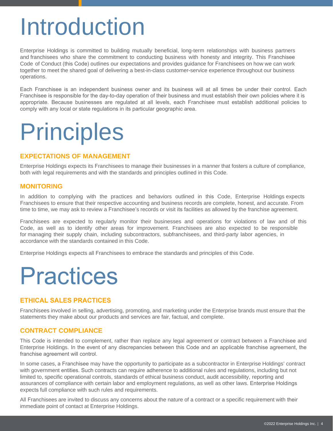### Introduction

Enterprise Holdings is committed to building mutually beneficial, long-term relationships with business partners and franchisees who share the commitment to conducting business with honesty and integrity. This Franchisee Code of Conduct (this Code) outlines our expectations and provides guidance for Franchisees on how we can work together to meet the shared goal of delivering a best-in-class customer-service experience throughout our business operations.

Each Franchisee is an independent business owner and its business will at all times be under their control. Each Franchisee is responsible for the day-to-day operation of their business and must establish their own policies where it is appropriate. Because businesses are regulated at all levels, each Franchisee must establish additional policies to comply with any local or state regulations in its particular geographic area.

### **Principles**

### **EXPECTATIONS OF MANAGEMENT**

Enterprise Holdings expects its Franchisees to manage their businesses in a manner that fosters a culture of compliance, both with legal requirements and with the standards and principles outlined in this Code.

#### **MONITORING**

In addition to complying with the practices and behaviors outlined in this Code, Enterprise Holdings expects Franchisees to ensure that their respective accounting and business records are complete, honest, and accurate. From time to time, we may ask to review a Franchisee's records or visit its facilities as allowed by the franchise agreement.

Franchisees are expected to regularly monitor their businesses and operations for violations of law and of this Code, as well as to identify other areas for improvement. Franchisees are also expected to be responsible for managing their supply chain, including subcontractors, subfranchisees, and third-party labor agencies, in accordance with the standards contained in this Code.

Enterprise Holdings expects all Franchisees to embrace the standards and principles of this Code.

### Practices

### **ETHICAL SALES PRACTICES**

Franchisees involved in selling, advertising, promoting, and marketing under the Enterprise brands must ensure that the statements they make about our products and services are fair, factual, and complete.

#### **CONTRACT COMPLIANCE**

This Code is intended to complement, rather than replace any legal agreement or contract between a Franchisee and Enterprise Holdings. In the event of any discrepancies between this Code and an applicable franchise agreement, the franchise agreement will control.

In some cases, a Franchisee may have the opportunity to participate as a subcontractor in Enterprise Holdings' contract with government entities. Such contracts can require adherence to additional rules and regulations, including but not limited to, specific operational controls, standards of ethical business conduct, audit accessibility, reporting and assurances of compliance with certain labor and employment regulations, as well as other laws. Enterprise Holdings expects full compliance with such rules and requirements.

All Franchisees are invited to discuss any concerns about the nature of a contract or a specific requirement with their immediate point of contact at Enterprise Holdings.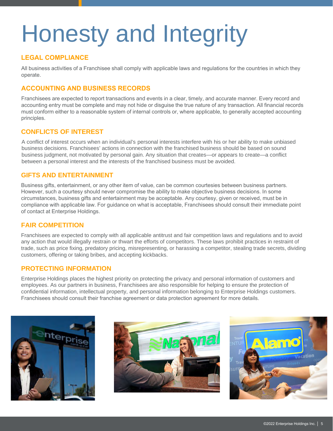## Honesty and Integrity

### **LEGAL COMPLIANCE**

All business activities of a Franchisee shall comply with applicable laws and regulations for the countries in which they operate.

### **ACCOUNTING AND BUSINESS RECORDS**

Franchisees are expected to report transactions and events in a clear, timely, and accurate manner. Every record and accounting entry must be complete and may not hide or disguise the true nature of any transaction. All financial records must conform either to a reasonable system of internal controls or, where applicable, to generally accepted accounting principles.

### **CONFLICTS OF INTEREST**

A conflict of interest occurs when an individual's personal interests interfere with his or her ability to make unbiased business decisions. Franchisees' actions in connection with the franchised business should be based on sound business judgment, not motivated by personal gain. Any situation that creates—or appears to create—a conflict between a personal interest and the interests of the franchised business must be avoided.

### **GIFTS AND ENTERTAINMENT**

Business gifts, entertainment, or any other item of value, can be common courtesies between business partners. However, such a courtesy should never compromise the ability to make objective business decisions. In some circumstances, business gifts and entertainment may be acceptable. Any courtesy, given or received, must be in compliance with applicable law. For guidance on what is acceptable, Franchisees should consult their immediate point of contact at Enterprise Holdings.

### **FAIR COMPETITION**

Franchisees are expected to comply with all applicable antitrust and fair competition laws and regulations and to avoid any action that would illegally restrain or thwart the efforts of competitors. These laws prohibit practices in restraint of trade, such as price fixing, predatory pricing, misrepresenting, or harassing a competitor, stealing trade secrets, dividing customers, offering or taking bribes, and accepting kickbacks.

### **PROTECTING INFORMATION**

Enterprise Holdings places the highest priority on protecting the privacy and personal information of customers and employees. As our partners in business, Franchisees are also responsible for helping to ensure the protection of confidential information, intellectual property, and personal information belonging to Enterprise Holdings customers. Franchisees should consult their franchise agreement or data protection agreement for more details.





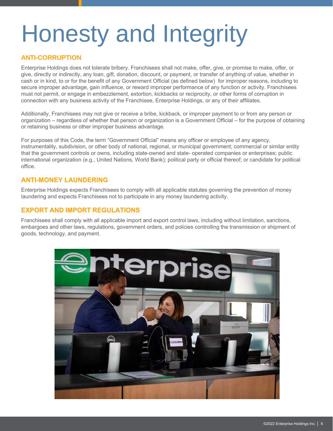## Honesty and Integrity

### **ANTI-CORRUPTION**

Enterprise Holdings does not tolerate bribery. Franchisees shall not make, offer, give, or promise to make, offer, or give, directly or indirectly, any loan, gift, donation, discount, or payment, or transfer of anything of value, whether in cash or in kind, to or for the benefit of any Government Official (as defined below) for improper reasons, including to secure improper advantage, gain influence, or reward improper performance of any function or activity. Franchisees must not permit, or engage in embezzlement, extortion, kickbacks or reciprocity, or other forms of corruption in connection with any business activity of the Franchisee, Enterprise Holdings, or any of their affiliates.

Additionally, Franchisees may not give or receive a bribe, kickback, or improper payment to or from any person or organization – regardless of whether that person or organization is a Government Official – for the purpose of obtaining or retaining business or other improper business advantage.

For purposes of this Code, the term "Government Official" means any officer or employee of any agency, instrumentality, subdivision, or other body of national, regional, or municipal government; commercial or similar entity that the government controls or owns, including state-owned and state- operated companies or enterprises; public international organization (e.g., United Nations, World Bank); political party or official thereof; or candidate for political office.

### **ANTI-MONEY LAUNDERING**

Enterprise Holdings expects Franchisees to comply with all applicable statutes governing the prevention of money laundering and expects Franchisees not to participate in any money laundering activity.

### **EXPORT AND IMPORT REGULATIONS**

Franchisees shall comply with all applicable import and export control laws, including without limitation, sanctions, embargoes and other laws, regulations, government orders, and policies controlling the transmission or shipment of goods, technology, and payment.

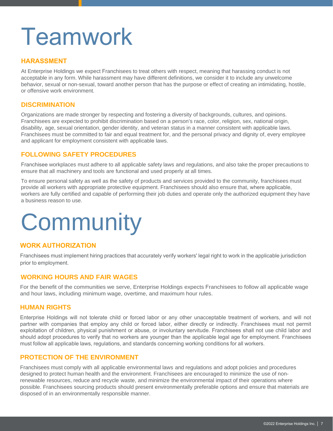### Teamwork

#### **HARASSMENT**

At Enterprise Holdings we expect Franchisees to treat others with respect, meaning that harassing conduct is not acceptable in any form. While harassment may have different definitions, we consider it to include any unwelcome behavior, sexual or non-sexual, toward another person that has the purpose or effect of creating an intimidating, hostile, or offensive work environment.

#### **DISCRIMINATION**

Organizations are made stronger by respecting and fostering a diversity of backgrounds, cultures, and opinions. Franchisees are expected to prohibit discrimination based on a person's race, color, religion, sex, national origin, disability, age, sexual orientation, gender identity, and veteran status in a manner consistent with applicable laws. Franchisees must be committed to fair and equal treatment for, and the personal privacy and dignity of, every employee and applicant for employment consistent with applicable laws.

#### **FOLLOWING SAFETY PROCEDURES**

Franchisee workplaces must adhere to all applicable safety laws and regulations, and also take the proper precautions to ensure that all machinery and tools are functional and used properly at all times.

To ensure personal safety as well as the safety of products and services provided to the community, franchisees must provide all workers with appropriate protective equipment. Franchisees should also ensure that, where applicable, workers are fully certified and capable of performing their job duties and operate only the authorized equipment they have a business reason to use.

### **Community**

#### **WORK AUTHORIZATION**

Franchisees must implement hiring practices that accurately verify workers' legal right to work in the applicable jurisdiction prior to employment.

#### **WORKING HOURS AND FAIR WAGES**

For the benefit of the communities we serve, Enterprise Holdings expects Franchisees to follow all applicable wage and hour laws, including minimum wage, overtime, and maximum hour rules.

#### **HUMAN RIGHTS**

Enterprise Holdings will not tolerate child or forced labor or any other unacceptable treatment of workers, and will not partner with companies that employ any child or forced labor, either directly or indirectly. Franchisees must not permit exploitation of children, physical punishment or abuse, or involuntary servitude. Franchisees shall not use child labor and should adopt procedures to verify that no workers are younger than the applicable legal age for employment. Franchisees must follow all applicable laws, regulations, and standards concerning working conditions for all workers.

#### **PROTECTION OF THE ENVIRONMENT**

Franchisees must comply with all applicable environmental laws and regulations and adopt policies and procedures designed to protect human health and the environment. Franchisees are encouraged to minimize the use of nonrenewable resources, reduce and recycle waste, and minimize the environmental impact of their operations where possible. Franchisees sourcing products should present environmentally preferable options and ensure that materials are disposed of in an environmentally responsible manner.